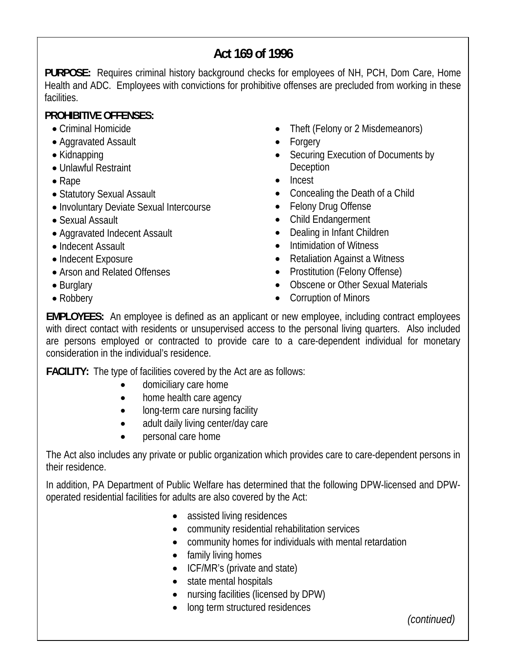# **Act 169 of 1996**

**PURPOSE:** Requires criminal history background checks for employees of NH, PCH, Dom Care, Home Health and ADC. Employees with convictions for prohibitive offenses are precluded from working in these facilities.

# **PROHIBITIVE OFFENSES:**

- Criminal Homicide
- Aggravated Assault
- Kidnapping
- Unlawful Restraint
- Rape
- Statutory Sexual Assault
- Involuntary Deviate Sexual Intercourse
- Sexual Assault
- Aggravated Indecent Assault
- Indecent Assault
- Indecent Exposure
- Arson and Related Offenses
- Burglary
- Robbery
- Theft (Felony or 2 Misdemeanors)
- Forgery
- Securing Execution of Documents by Deception
- Incest
- Concealing the Death of a Child
- Felony Drug Offense
- Child Endangerment
- Dealing in Infant Children
- Intimidation of Witness
- Retaliation Against a Witness
- Prostitution (Felony Offense)
- Obscene or Other Sexual Materials
- Corruption of Minors

**EMPLOYEES:** An employee is defined as an applicant or new employee, including contract employees with direct contact with residents or unsupervised access to the personal living quarters. Also included are persons employed or contracted to provide care to a care-dependent individual for monetary consideration in the individual's residence.

**FACILITY:** The type of facilities covered by the Act are as follows:

- domiciliary care home
- home health care agency
- long-term care nursing facility
- adult daily living center/day care
- personal care home

The Act also includes any private or public organization which provides care to care-dependent persons in their residence.

In addition, PA Department of Public Welfare has determined that the following DPW-licensed and DPWoperated residential facilities for adults are also covered by the Act:

- assisted living residences
- community residential rehabilitation services
- community homes for individuals with mental retardation
- family living homes
- ICF/MR's (private and state)
- state mental hospitals
- nursing facilities (licensed by DPW)
- long term structured residences

*(continued)*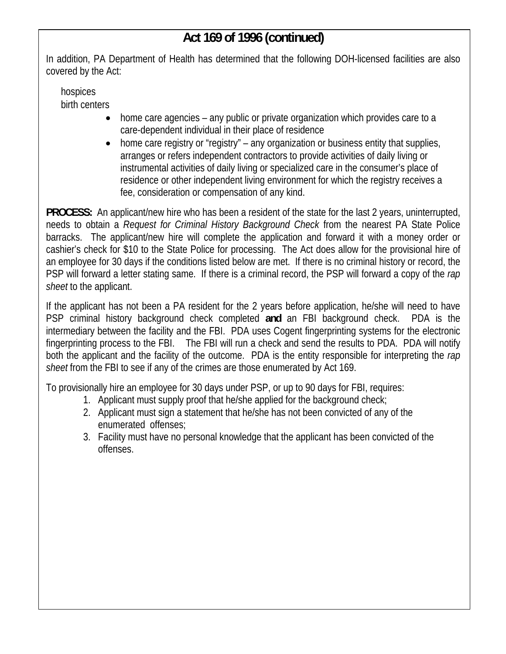# **Act 169 of 1996 (continued)**

In addition, PA Department of Health has determined that the following DOH-licensed facilities are also covered by the Act:

hospices birth centers

- home care agencies any public or private organization which provides care to a care-dependent individual in their place of residence
- home care registry or "registry" any organization or business entity that supplies, arranges or refers independent contractors to provide activities of daily living or instrumental activities of daily living or specialized care in the consumer's place of residence or other independent living environment for which the registry receives a fee, consideration or compensation of any kind.

**PROCESS:** An applicant/new hire who has been a resident of the state for the last 2 years, uninterrupted, needs to obtain a *Request for Criminal History Background Check* from the nearest PA State Police barracks. The applicant/new hire will complete the application and forward it with a money order or cashier's check for \$10 to the State Police for processing. The Act does allow for the provisional hire of an employee for 30 days if the conditions listed below are met. If there is no criminal history or record, the PSP will forward a letter stating same. If there is a criminal record, the PSP will forward a copy of the *rap sheet* to the applicant.

If the applicant has not been a PA resident for the 2 years before application, he/she will need to have PSP criminal history background check completed **and** an FBI background check. PDA is the intermediary between the facility and the FBI. PDA uses Cogent fingerprinting systems for the electronic fingerprinting process to the FBI. The FBI will run a check and send the results to PDA. PDA will notify both the applicant and the facility of the outcome. PDA is the entity responsible for interpreting the *rap sheet* from the FBI to see if any of the crimes are those enumerated by Act 169.

To provisionally hire an employee for 30 days under PSP, or up to 90 days for FBI, requires:

- 1. Applicant must supply proof that he/she applied for the background check;
- 2. Applicant must sign a statement that he/she has not been convicted of any of the enumerated offenses;
- 3. Facility must have no personal knowledge that the applicant has been convicted of the offenses.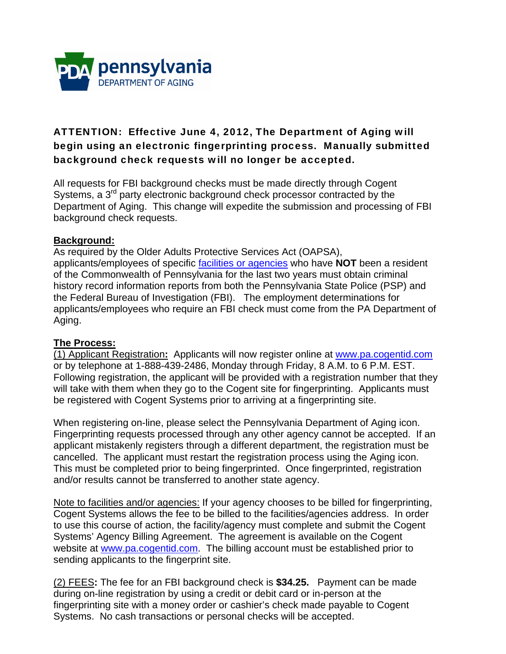

## ATTENTION: Effective June 4, 2012, The Department of Aging will begin using an electronic fingerprinting process. Manually submitted background check requests will no longer be accepted.

All requests for FBI background checks must be made directly through Cogent Systems, a 3<sup>rd</sup> party electronic background check processor contracted by the Department of Aging. This change will expedite the submission and processing of FBI background check requests.

## **Background:**

As required by the Older Adults Protective Services Act (OAPSA), applicants/employees of specific facilities or agencies who have **NOT** been a resident of the Commonwealth of Pennsylvania for the last two years must obtain criminal history record information reports from both the Pennsylvania State Police (PSP) and the Federal Bureau of Investigation (FBI). The employment determinations for applicants/employees who require an FBI check must come from the PA Department of Aging.

### **The Process:**

(1) Applicant Registration**:** Applicants will now register online at www.pa.cogentid.com or by telephone at 1-888-439-2486, Monday through Friday, 8 A.M. to 6 P.M. EST. Following registration, the applicant will be provided with a registration number that they will take with them when they go to the Cogent site for fingerprinting. Applicants must be registered with Cogent Systems prior to arriving at a fingerprinting site.

When registering on-line, please select the Pennsylvania Department of Aging icon. Fingerprinting requests processed through any other agency cannot be accepted. If an applicant mistakenly registers through a different department, the registration must be cancelled. The applicant must restart the registration process using the Aging icon. This must be completed prior to being fingerprinted. Once fingerprinted, registration and/or results cannot be transferred to another state agency.

Note to facilities and/or agencies: If your agency chooses to be billed for fingerprinting, Cogent Systems allows the fee to be billed to the facilities/agencies address. In order to use this course of action, the facility/agency must complete and submit the Cogent Systems' Agency Billing Agreement. The agreement is available on the Cogent website at www.pa.cogentid.com. The billing account must be established prior to sending applicants to the fingerprint site.

(2) FEES**:** The fee for an FBI background check is **\$34.25.** Payment can be made during on-line registration by using a credit or debit card or in-person at the fingerprinting site with a money order or cashier's check made payable to Cogent Systems. No cash transactions or personal checks will be accepted.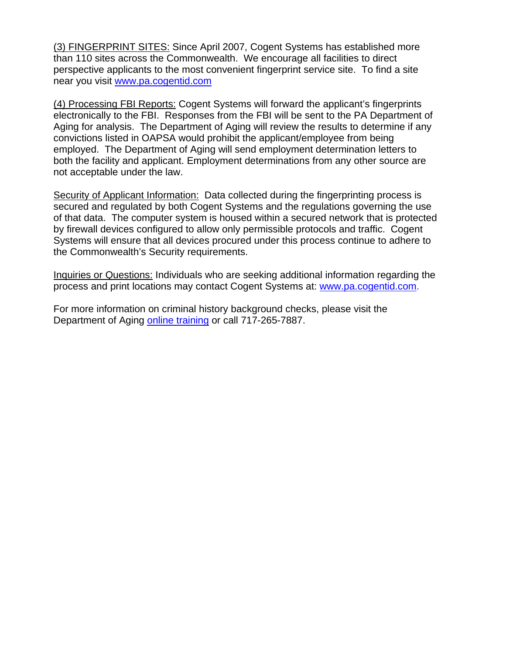(3) FINGERPRINT SITES: Since April 2007, Cogent Systems has established more than 110 sites across the Commonwealth. We encourage all facilities to direct perspective applicants to the most convenient fingerprint service site. To find a site near you visit www.pa.cogentid.com

(4) Processing FBI Reports: Cogent Systems will forward the applicant's fingerprints electronically to the FBI. Responses from the FBI will be sent to the PA Department of Aging for analysis. The Department of Aging will review the results to determine if any convictions listed in OAPSA would prohibit the applicant/employee from being employed. The Department of Aging will send employment determination letters to both the facility and applicant. Employment determinations from any other source are not acceptable under the law.

Security of Applicant Information:Data collected during the fingerprinting process is secured and regulated by both Cogent Systems and the regulations governing the use of that data. The computer system is housed within a secured network that is protected by firewall devices configured to allow only permissible protocols and traffic. Cogent Systems will ensure that all devices procured under this process continue to adhere to the Commonwealth's Security requirements.

Inquiries or Questions: Individuals who are seeking additional information regarding the process and print locations may contact Cogent Systems at: www.pa.cogentid.com.

For more information on criminal history background checks, please visit the Department of Aging online training or call 717-265-7887.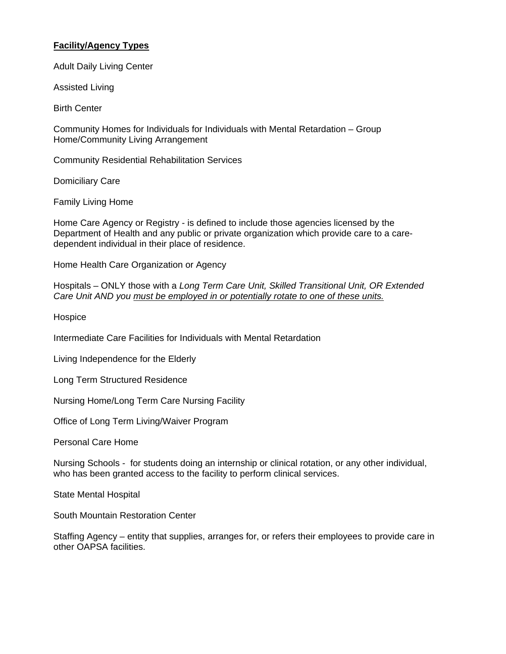#### **Facility/Agency Types**

Adult Daily Living Center

Assisted Living

Birth Center

Community Homes for Individuals for Individuals with Mental Retardation – Group Home/Community Living Arrangement

Community Residential Rehabilitation Services

Domiciliary Care

Family Living Home

Home Care Agency or Registry - is defined to include those agencies licensed by the Department of Health and any public or private organization which provide care to a caredependent individual in their place of residence.

Home Health Care Organization or Agency

Hospitals – ONLY those with a *Long Term Care Unit, Skilled Transitional Unit, OR Extended Care Unit AND you must be employed in or potentially rotate to one of these units.*

Hospice

Intermediate Care Facilities for Individuals with Mental Retardation

Living Independence for the Elderly

Long Term Structured Residence

Nursing Home/Long Term Care Nursing Facility

Office of Long Term Living/Waiver Program

Personal Care Home

Nursing Schools - for students doing an internship or clinical rotation, or any other individual, who has been granted access to the facility to perform clinical services.

State Mental Hospital

South Mountain Restoration Center

Staffing Agency – entity that supplies, arranges for, or refers their employees to provide care in other OAPSA facilities.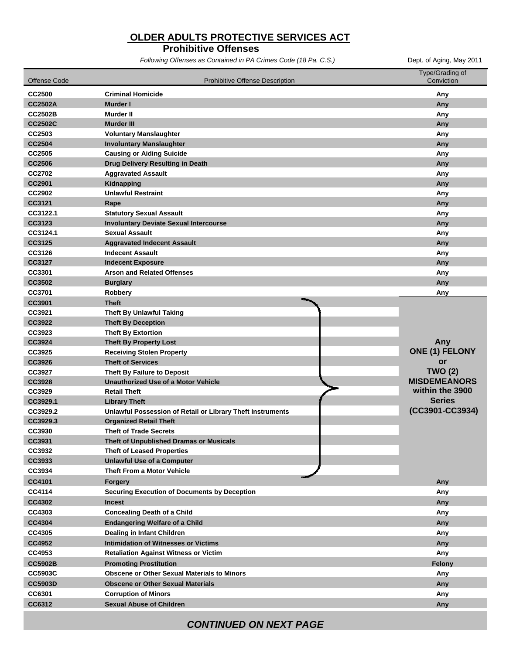## **OLDER ADULTS PROTECTIVE SERVICES ACT**

#### **Prohibitive Offenses**

*Following Offenses as Contained in PA Crimes Code (18 Pa. C.S.)* Dept. of Aging, May 2011

| <b>Offense Code</b> | <b>Prohibitive Offense Description</b>                     | Type/Grading of<br>Conviction |
|---------------------|------------------------------------------------------------|-------------------------------|
| <b>CC2500</b>       | <b>Criminal Homicide</b>                                   | Any                           |
| <b>CC2502A</b>      | Murder I                                                   | Any                           |
| <b>CC2502B</b>      | Murder II                                                  | Any                           |
| <b>CC2502C</b>      | Murder III                                                 | Any                           |
| CC2503              | <b>Voluntary Manslaughter</b>                              | Any                           |
| <b>CC2504</b>       | <b>Involuntary Manslaughter</b>                            | Any                           |
| CC2505              | <b>Causing or Aiding Suicide</b>                           | Any                           |
| <b>CC2506</b>       | Drug Delivery Resulting in Death                           | Any                           |
| CC2702              | <b>Aggravated Assault</b>                                  | Any                           |
| <b>CC2901</b>       | Kidnapping                                                 | Any                           |
| <b>CC2902</b>       | <b>Unlawful Restraint</b>                                  | Any                           |
| CC3121              | Rape                                                       | Any                           |
| CC3122.1            | <b>Statutory Sexual Assault</b>                            | Any                           |
| CC3123              | <b>Involuntary Deviate Sexual Intercourse</b>              | Any                           |
| CC3124.1            | <b>Sexual Assault</b>                                      | Any                           |
| CC3125              | <b>Aggravated Indecent Assault</b>                         | Any                           |
| CC3126              | <b>Indecent Assault</b>                                    | Any                           |
| CC3127              | <b>Indecent Exposure</b>                                   | Any                           |
| CC3301              | <b>Arson and Related Offenses</b>                          | Any                           |
| CC3502              | <b>Burglary</b>                                            | Any                           |
| CC3701              | Robbery                                                    | Any                           |
| CC3901              | <b>Theft</b>                                               |                               |
| CC3921              | <b>Theft By Unlawful Taking</b>                            |                               |
| CC3922              | <b>Theft By Deception</b>                                  |                               |
| CC3923              | <b>Theft By Extortion</b>                                  |                               |
| CC3924              | <b>Theft By Property Lost</b>                              | Any                           |
| CC3925              | <b>Receiving Stolen Property</b>                           | ONE (1) FELONY                |
| CC3926              | <b>Theft of Services</b>                                   | or                            |
| CC3927              | Theft By Failure to Deposit                                | <b>TWO (2)</b>                |
| <b>CC3928</b>       | <b>Unauthorized Use of a Motor Vehicle</b>                 | <b>MISDEMEANORS</b>           |
| CC3929              | <b>Retail Theft</b>                                        | within the 3900               |
| CC3929.1            | <b>Library Theft</b>                                       | <b>Series</b>                 |
| CC3929.2            | Unlawful Possession of Retail or Library Theft Instruments | (CC3901-CC3934)               |
| CC3929.3            | <b>Organized Retail Theft</b>                              |                               |
| CC3930              | <b>Theft of Trade Secrets</b>                              |                               |
| CC3931              | Theft of Unpublished Dramas or Musicals                    |                               |
| CC3932              | <b>Theft of Leased Properties</b>                          |                               |
| CC3933              | <b>Unlawful Use of a Computer</b>                          |                               |
| CC3934              | <b>Theft From a Motor Vehicle</b>                          |                               |
| CC4101              | Forgery                                                    | Any                           |
| CC4114              | <b>Securing Execution of Documents by Deception</b>        | Any                           |
| <b>CC4302</b>       | <b>Incest</b>                                              | Any                           |
| CC4303              | <b>Concealing Death of a Child</b>                         | Any                           |
| CC4304              | <b>Endangering Welfare of a Child</b>                      | Any                           |
| CC4305              | Dealing in Infant Children                                 | Any                           |
| CC4952              | <b>Intimidation of Witnesses or Victims</b>                | Any                           |
| CC4953              | <b>Retaliation Against Witness or Victim</b>               | Any                           |
| <b>CC5902B</b>      | <b>Promoting Prostitution</b>                              | Felony                        |
| <b>CC5903C</b>      | <b>Obscene or Other Sexual Materials to Minors</b>         | Any                           |
| <b>CC5903D</b>      | <b>Obscene or Other Sexual Materials</b>                   | Any                           |
| CC6301              | <b>Corruption of Minors</b>                                | Any                           |
| CC6312              | <b>Sexual Abuse of Children</b>                            | Any                           |
|                     |                                                            |                               |

*CONTINUED ON NEXT PAGE*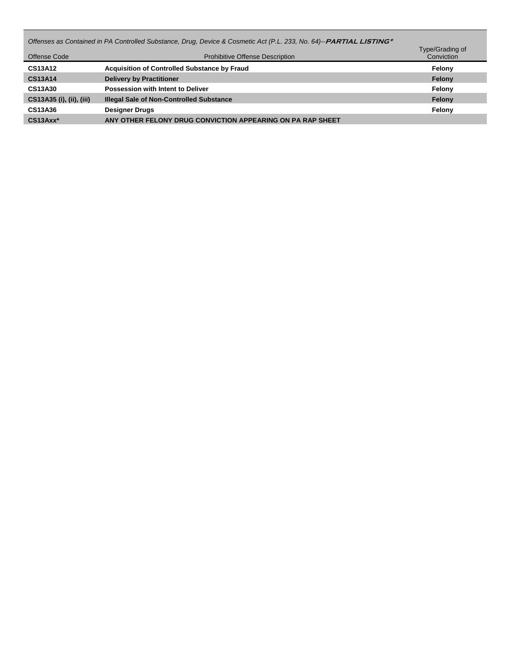| Offenses as Contained in PA Controlled Substance, Drug, Device & Cosmetic Act (P.L. 233, No. 64)--PARTIAL LISTING*<br>Type/Grading of |                                                            |            |  |
|---------------------------------------------------------------------------------------------------------------------------------------|------------------------------------------------------------|------------|--|
| Offense Code                                                                                                                          | <b>Prohibitive Offense Description</b>                     | Conviction |  |
| <b>CS13A12</b>                                                                                                                        | <b>Acquisition of Controlled Substance by Fraud</b>        | Felony     |  |
| <b>CS13A14</b>                                                                                                                        | <b>Delivery by Practitioner</b>                            | Felony     |  |
| <b>CS13A30</b>                                                                                                                        | Possession with Intent to Deliver                          | Felony     |  |
| CS13A35 (i), (ii), (iii)                                                                                                              | <b>Illegal Sale of Non-Controlled Substance</b>            | Felony     |  |
| CS13A36                                                                                                                               | <b>Designer Drugs</b>                                      | Felony     |  |
| CS13Axx*                                                                                                                              | ANY OTHER FELONY DRUG CONVICTION APPEARING ON PA RAP SHEET |            |  |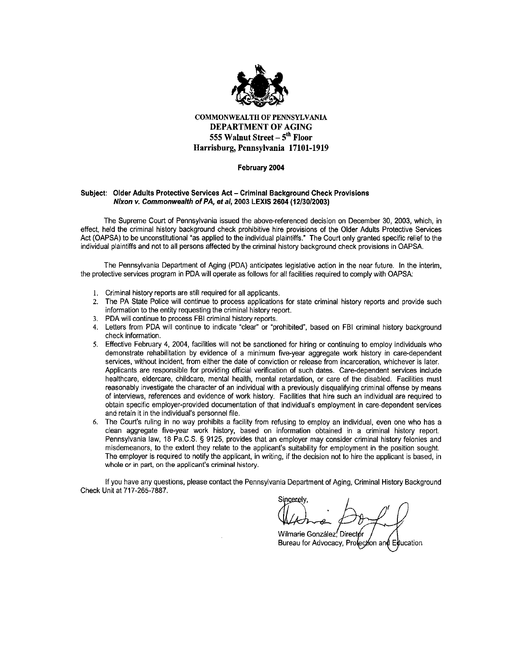

**COMMONWEALTH OF PENNSYLVANIA DEPARTMENT OF AGING** 555 Walnut Street - 5<sup>th</sup> Floor Harrisburg, Pennsylvania 17101-1919

#### February 2004

#### Subject: Older Adults Protective Services Act - Criminal Background Check Provisions Nixon v. Commonwealth of PA, et al, 2003 LEXIS 2604 (12/30/2003)

The Supreme Court of Pennsylvania issued the above-referenced decision on December 30, 2003, which, in effect, held the criminal history background check prohibitive hire provisions of the Older Adults Protective Services Act (OAPSA) to be unconstitutional "as applied to the individual plaintiffs." The Court only granted specific relief to the individual plaintiffs and not to all persons affected by the criminal history background check provisions in OAPSA.

The Pennsylvania Department of Aging (PDA) anticipates legislative action in the near future. In the interim, the protective services program in PDA will operate as follows for all facilities required to comply with OAPSA:

- 1. Criminal history reports are still required for all applicants.
- 2. The PA State Police will continue to process applications for state criminal history reports and provide such information to the entity requesting the criminal history report.
- $\mathbf{3}$ PDA will continue to process FBI criminal history reports.
- 4. Letters from PDA will continue to indicate "clear" or "prohibited", based on FBI criminal history background check information.
- Effective February 4, 2004, facilities will not be sanctioned for hiring or continuing to employ individuals who 5. demonstrate rehabilitation by evidence of a minimum five-year aggregate work history in care-dependent services, without incident, from either the date of conviction or release from incarceration, whichever is later. Applicants are responsible for providing official verification of such dates. Care-dependent services include healthcare, eldercare, childcare, mental health, mental retardation, or care of the disabled. Facilities must reasonably investigate the character of an individual with a previously disqualifying criminal offense by means of interviews, references and evidence of work history. Facilities that hire such an individual are required to obtain specific employer-provided documentation of that individual's employment in care-dependent services and retain it in the individual's personnel file.
- The Court's ruling in no way prohibits a facility from refusing to employ an individual, even one who has a 6. clean aggregate five-year work history, based on information obtained in a criminal history report. Pennsylvania law, 18 Pa.C.S. § 9125, provides that an employer may consider criminal history felonies and misdemeanors, to the extent they relate to the applicant's suitability for employment in the position sought. The employer is required to notify the applicant, in writing, if the decision not to hire the applicant is based, in whole or in part, on the applicant's criminal history.

If you have any questions, please contact the Pennsylvania Department of Aging, Criminal History Background Check Unit at 717-265-7887.

Sincerely,

Wilmarie González, Directór Bureau for Advocacy, Protection and Education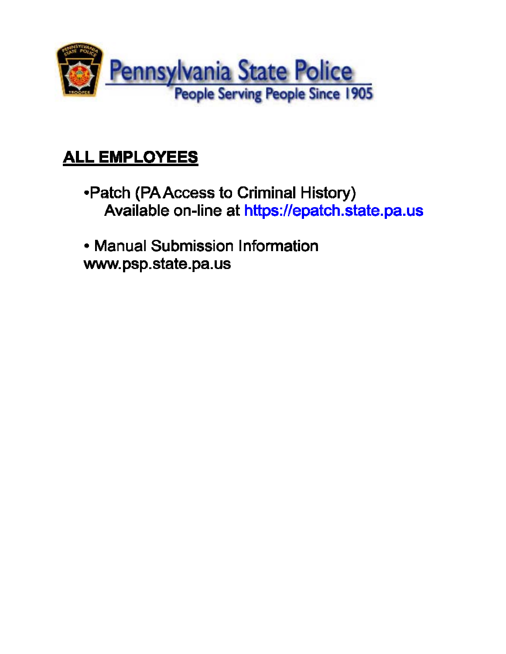

# **ALL EMPLOYEES**

- •Patch (PA Access to Criminal History) Available on-line at https://epatch.state.pa.us
- Manual Submission Information www.psp.state.pa.us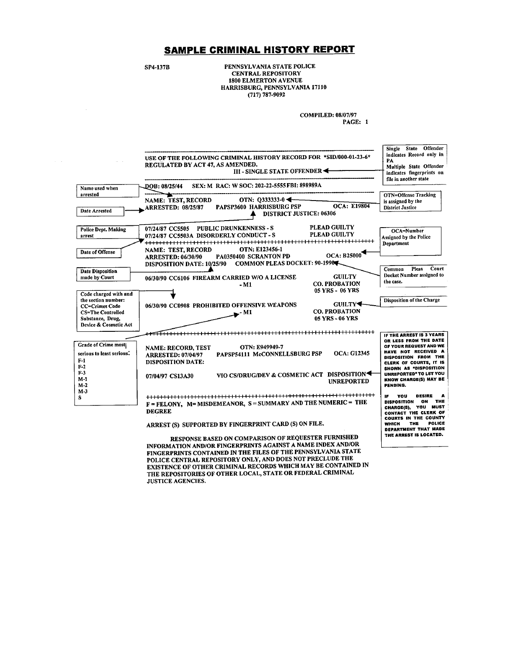#### SAMPLE CRIMINAL HISTORY REPORT

**SP4-137B** 

PENNSYLVANIA STATE POLICE **CENTRAL REPOSITORY** 1800 ELMERTON AVENUE HARRISBURG, PENNSYLVANIA 17110  $(717)$  787-9092

**COMPILED: 08/07/97** 

PAGE: 1



INFORMATION AND/OR FINGERPRINTS AGAINST A NAME INDEX AND/OR FINGERPRINTS CONTAINED IN THE FILES OF THE PENNSYLVANIA STATE POLICE CENTRAL REPOSITORY ONLY, AND DOES NOT PRECLUDE THE EXISTENCE OF OTHER CRIMINAL RECORDS WHICH MAY BE CONTAINED IN THE REPOSITORIES OF OTHER LOCAL, STATE OR FEDERAL CRIMINAL **JUSTICE AGENCIES.**